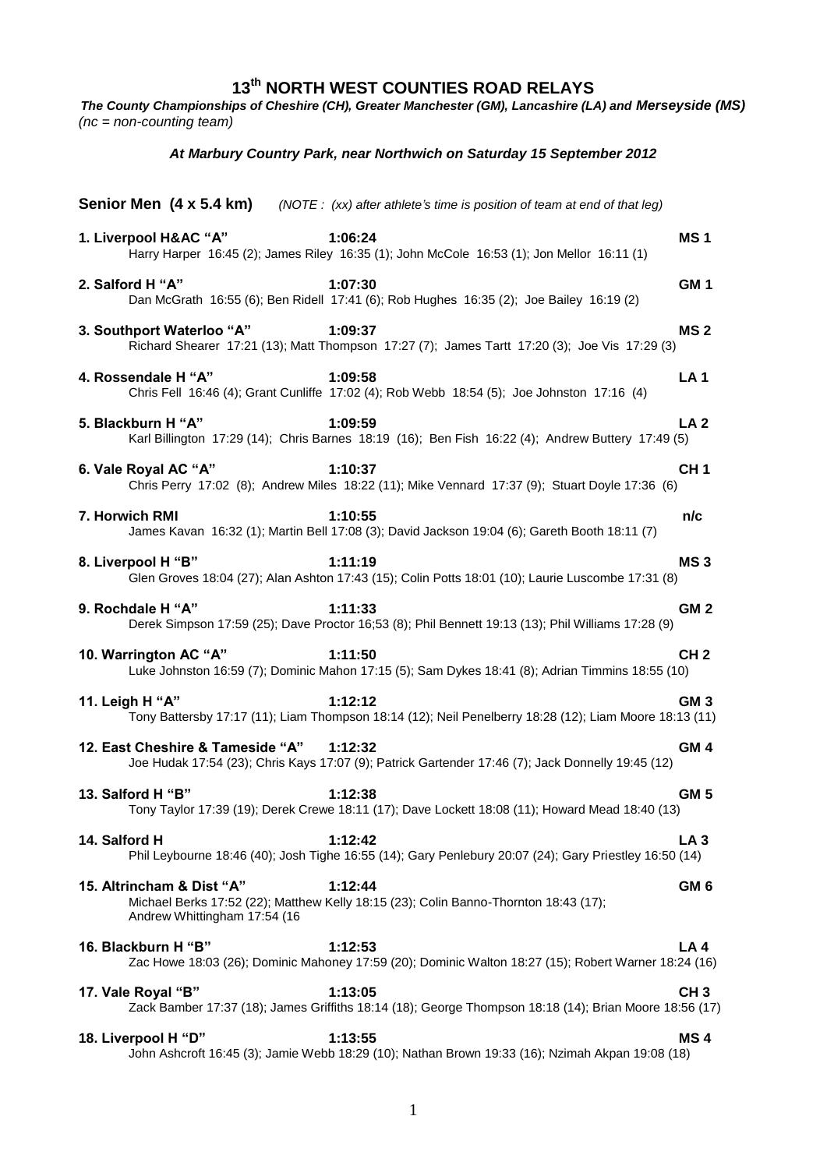**13th NORTH WEST COUNTIES ROAD RELAYS** *The County Championships of Cheshire (CH), Greater Manchester (GM), Lancashire (LA) and Merseyside (MS) (nc = non-counting team) At Marbury Country Park, near Northwich on Saturday 15 September 2012* **Senior Men (4 x 5.4 km)** *(NOTE : (xx) after athlete's time is position of team at end of that leg)* **1. Liverpool H&AC "A" 1:06:24 MS 1** Harry Harper 16:45 (2); James Riley 16:35 (1); John McCole 16:53 (1); Jon Mellor 16:11 (1) **2. Salford H "A" 1:07:30 GM 1** Dan McGrath 16:55 (6); Ben Ridell 17:41 (6); Rob Hughes 16:35 (2); Joe Bailey 16:19 (2) **3. Southport Waterloo "A" 1:09:37 MS 2** Richard Shearer 17:21 (13); Matt Thompson 17:27 (7); James Tartt 17:20 (3); Joe Vis 17:29 (3) **4. Rossendale H "A" 1:09:58 LA 1** Chris Fell 16:46 (4); Grant Cunliffe 17:02 (4); Rob Webb 18:54 (5); Joe Johnston 17:16 (4) **5. Blackburn H "A" 1:09:59 LA 2** Karl Billington 17:29 (14); Chris Barnes 18:19 (16); Ben Fish 16:22 (4); Andrew Buttery 17:49 (5) **6. Vale Royal AC "A" 1:10:37 CH 1** Chris Perry 17:02 (8); Andrew Miles 18:22 (11); Mike Vennard 17:37 (9); Stuart Doyle 17:36 (6) **7. Horwich RMI 1:10:55 n/c** James Kavan 16:32 (1); Martin Bell 17:08 (3); David Jackson 19:04 (6); Gareth Booth 18:11 (7) **8. Liverpool H "B" 1:11:19 MS 3** Glen Groves 18:04 (27); Alan Ashton 17:43 (15); Colin Potts 18:01 (10); Laurie Luscombe 17:31 (8) **9. Rochdale H "A" 1:11:33 GM 2** Derek Simpson 17:59 (25); Dave Proctor 16;53 (8); Phil Bennett 19:13 (13); Phil Williams 17:28 (9) **10. Warrington AC "A" 1:11:50 CH 2** Luke Johnston 16:59 (7); Dominic Mahon 17:15 (5); Sam Dykes 18:41 (8); Adrian Timmins 18:55 (10) **11. Leigh H "A" 1:12:12 GM 3** Tony Battersby 17:17 (11); Liam Thompson 18:14 (12); Neil Penelberry 18:28 (12); Liam Moore 18:13 (11) **12. East Cheshire & Tameside "A" 1:12:32 GM 4** Joe Hudak 17:54 (23); Chris Kays 17:07 (9); Patrick Gartender 17:46 (7); Jack Donnelly 19:45 (12) **13. Salford H "B" 1:12:38 GM 5** Tony Taylor 17:39 (19); Derek Crewe 18:11 (17); Dave Lockett 18:08 (11); Howard Mead 18:40 (13) **14. Salford H 1:12:42 LA 3** Phil Leybourne 18:46 (40); Josh Tighe 16:55 (14); Gary Penlebury 20:07 (24); Gary Priestley 16:50 (14) **15. Altrincham & Dist "A" 1:12:44 GM 6** Michael Berks 17:52 (22); Matthew Kelly 18:15 (23); Colin Banno-Thornton 18:43 (17);

**16. Blackburn H "B" 1:12:53 LA 4** Zac Howe 18:03 (26); Dominic Mahoney 17:59 (20); Dominic Walton 18:27 (15); Robert Warner 18:24 (16)

Andrew Whittingham 17:54 (16

**17. Vale Royal "B" 1:13:05 CH 3** Zack Bamber 17:37 (18); James Griffiths 18:14 (18); George Thompson 18:18 (14); Brian Moore 18:56 (17)

**18. Liverpool H "D" 1:13:55 MS 4** John Ashcroft 16:45 (3); Jamie Webb 18:29 (10); Nathan Brown 19:33 (16); Nzimah Akpan 19:08 (18)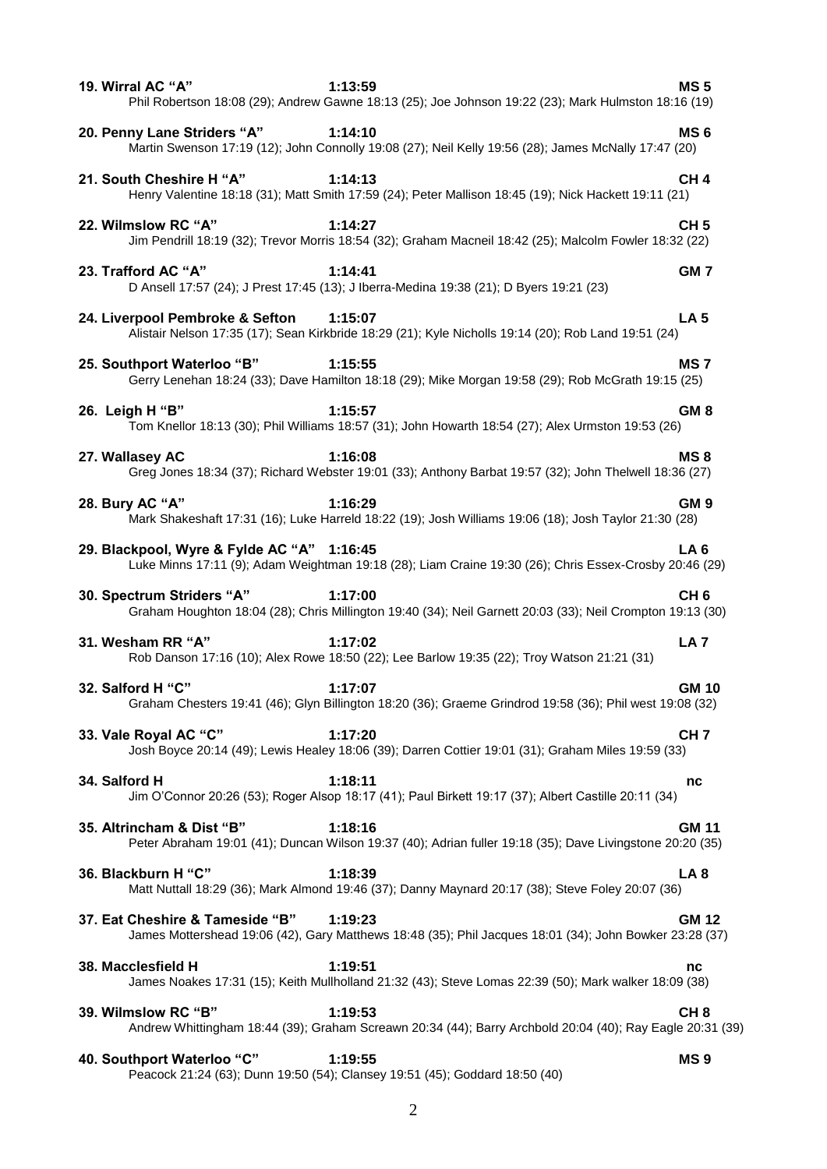| 19. Wirral AC "A"                          | 1:13:59<br>Phil Robertson 18:08 (29); Andrew Gawne 18:13 (25); Joe Johnson 19:22 (23); Mark Hulmston 18:16 (19)       | <b>MS5</b>      |
|--------------------------------------------|-----------------------------------------------------------------------------------------------------------------------|-----------------|
| 20. Penny Lane Striders "A"                | 1:14:10<br>Martin Swenson 17:19 (12); John Connolly 19:08 (27); Neil Kelly 19:56 (28); James McNally 17:47 (20)       | MS <sub>6</sub> |
| 21. South Cheshire H "A"                   | 1:14:13<br>Henry Valentine 18:18 (31); Matt Smith 17:59 (24); Peter Mallison 18:45 (19); Nick Hackett 19:11 (21)      | CH <sub>4</sub> |
| 22. Wilmslow RC "A"                        | 1:14:27<br>Jim Pendrill 18:19 (32); Trevor Morris 18:54 (32); Graham Macneil 18:42 (25); Malcolm Fowler 18:32 (22)    | CH <sub>5</sub> |
| 23. Trafford AC "A"                        | 1:14:41<br>D Ansell 17:57 (24); J Prest 17:45 (13); J Iberra-Medina 19:38 (21); D Byers 19:21 (23)                    | GM <sub>7</sub> |
| 24. Liverpool Pembroke & Sefton            | 1:15:07<br>Alistair Nelson 17:35 (17); Sean Kirkbride 18:29 (21); Kyle Nicholls 19:14 (20); Rob Land 19:51 (24)       | <b>LA 5</b>     |
| 25. Southport Waterloo "B"                 | 1:15:55<br>Gerry Lenehan 18:24 (33); Dave Hamilton 18:18 (29); Mike Morgan 19:58 (29); Rob McGrath 19:15 (25)         | MS <sub>7</sub> |
| 26. Leigh H "B"                            | 1:15:57<br>Tom Knellor 18:13 (30); Phil Williams 18:57 (31); John Howarth 18:54 (27); Alex Urmston 19:53 (26)         | GM <sub>8</sub> |
| 27. Wallasey AC                            | 1:16:08<br>Greg Jones 18:34 (37); Richard Webster 19:01 (33); Anthony Barbat 19:57 (32); John Thelwell 18:36 (27)     | MS <sub>8</sub> |
| 28. Bury AC "A"                            | 1:16:29<br>Mark Shakeshaft 17:31 (16); Luke Harreld 18:22 (19); Josh Williams 19:06 (18); Josh Taylor 21:30 (28)      | GM <sub>9</sub> |
| 29. Blackpool, Wyre & Fylde AC "A" 1:16:45 | Luke Minns 17:11 (9); Adam Weightman 19:18 (28); Liam Craine 19:30 (26); Chris Essex-Crosby 20:46 (29)                | LA <sub>6</sub> |
| 30. Spectrum Striders "A"                  | 1:17:00<br>Graham Houghton 18:04 (28); Chris Millington 19:40 (34); Neil Garnett 20:03 (33); Neil Crompton 19:13 (30) | CH <sub>6</sub> |
| 31. Wesham RR "A"                          | 1:17:02<br>Rob Danson 17:16 (10); Alex Rowe 18:50 (22); Lee Barlow 19:35 (22); Troy Watson 21:21 (31)                 | LA <sub>7</sub> |
| 32. Salford H "C"                          | 1:17:07<br>Graham Chesters 19:41 (46); Glyn Billington 18:20 (36); Graeme Grindrod 19:58 (36); Phil west 19:08 (32)   | <b>GM 10</b>    |
| 33. Vale Royal AC "C"                      | 1:17:20<br>Josh Boyce 20:14 (49); Lewis Healey 18:06 (39); Darren Cottier 19:01 (31); Graham Miles 19:59 (33)         | CH <sub>7</sub> |
| 34. Salford H                              | 1:18:11<br>Jim O'Connor 20:26 (53); Roger Alsop 18:17 (41); Paul Birkett 19:17 (37); Albert Castille 20:11 (34)       | nc              |
| 35. Altrincham & Dist "B"                  | 1:18:16<br>Peter Abraham 19:01 (41); Duncan Wilson 19:37 (40); Adrian fuller 19:18 (35); Dave Livingstone 20:20 (35)  | <b>GM 11</b>    |
| 36. Blackburn H "C"                        | 1:18:39<br>Matt Nuttall 18:29 (36); Mark Almond 19:46 (37); Danny Maynard 20:17 (38); Steve Foley 20:07 (36)          | LA <sub>8</sub> |
| 37. Eat Cheshire & Tameside "B"            | 1:19:23<br>James Mottershead 19:06 (42), Gary Matthews 18:48 (35); Phil Jacques 18:01 (34); John Bowker 23:28 (37)    | <b>GM 12</b>    |
| 38. Macclesfield H                         | 1:19:51<br>James Noakes 17:31 (15); Keith Mullholland 21:32 (43); Steve Lomas 22:39 (50); Mark walker 18:09 (38)      | nc              |
| 39. Wilmslow RC "B"                        | 1:19:53<br>Andrew Whittingham 18:44 (39); Graham Screawn 20:34 (44); Barry Archbold 20:04 (40); Ray Eagle 20:31 (39)  | CH <sub>8</sub> |
| 40. Southport Waterloo "C"                 | 1:19:55<br>Peacock 21:24 (63); Dunn 19:50 (54); Clansey 19:51 (45); Goddard 18:50 (40)                                | MS <sub>9</sub> |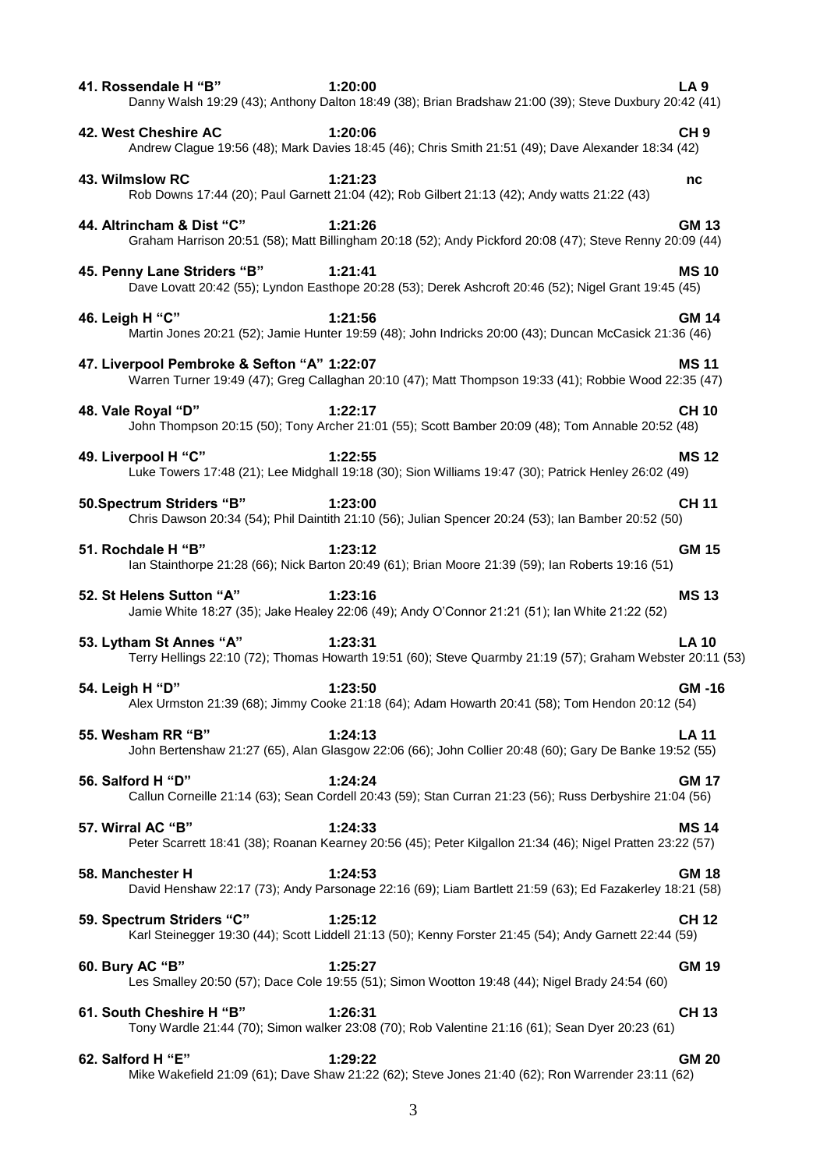| 41. Rossendale H "B"                        | 1:20:00<br>Danny Walsh 19:29 (43); Anthony Dalton 18:49 (38); Brian Bradshaw 21:00 (39); Steve Duxbury 20:42 (41)     | <b>LA 9</b>     |
|---------------------------------------------|-----------------------------------------------------------------------------------------------------------------------|-----------------|
| 42. West Cheshire AC                        | 1:20:06<br>Andrew Clague 19:56 (48); Mark Davies 18:45 (46); Chris Smith 21:51 (49); Dave Alexander 18:34 (42)        | CH <sub>9</sub> |
| 43. Wilmslow RC                             | 1:21:23<br>Rob Downs 17:44 (20); Paul Garnett 21:04 (42); Rob Gilbert 21:13 (42); Andy watts 21:22 (43)               | nc              |
| 44. Altrincham & Dist "C"                   | 1:21:26<br>Graham Harrison 20:51 (58); Matt Billingham 20:18 (52); Andy Pickford 20:08 (47); Steve Renny 20:09 (44)   | <b>GM 13</b>    |
| 45. Penny Lane Striders "B"                 | 1:21:41<br>Dave Lovatt 20:42 (55); Lyndon Easthope 20:28 (53); Derek Ashcroft 20:46 (52); Nigel Grant 19:45 (45)      | <b>MS10</b>     |
| 46. Leigh H "C"                             | 1:21:56<br>Martin Jones 20:21 (52); Jamie Hunter 19:59 (48); John Indricks 20:00 (43); Duncan McCasick 21:36 (46)     | <b>GM 14</b>    |
| 47. Liverpool Pembroke & Sefton "A" 1:22:07 | Warren Turner 19:49 (47); Greg Callaghan 20:10 (47); Matt Thompson 19:33 (41); Robbie Wood 22:35 (47)                 | <b>MS11</b>     |
| 48. Vale Royal "D"                          | 1:22:17<br>John Thompson 20:15 (50); Tony Archer 21:01 (55); Scott Bamber 20:09 (48); Tom Annable 20:52 (48)          | <b>CH 10</b>    |
| 49. Liverpool H "C"                         | 1:22:55<br>Luke Towers 17:48 (21); Lee Midghall 19:18 (30); Sion Williams 19:47 (30); Patrick Henley 26:02 (49)       | <b>MS12</b>     |
| 50.Spectrum Striders "B"                    | 1:23:00<br>Chris Dawson 20:34 (54); Phil Daintith 21:10 (56); Julian Spencer 20:24 (53); Ian Bamber 20:52 (50)        | <b>CH 11</b>    |
| 51. Rochdale H "B"                          | 1:23:12<br>lan Stainthorpe 21:28 (66); Nick Barton 20:49 (61); Brian Moore 21:39 (59); lan Roberts 19:16 (51)         | <b>GM 15</b>    |
| 52. St Helens Sutton "A"                    | 1:23:16<br>Jamie White 18:27 (35); Jake Healey 22:06 (49); Andy O'Connor 21:21 (51); Ian White 21:22 (52)             | <b>MS13</b>     |
| 53. Lytham St Annes "A"                     | 1:23:31<br>Terry Hellings 22:10 (72); Thomas Howarth 19:51 (60); Steve Quarmby 21:19 (57); Graham Webster 20:11 (53)  | <b>LA 10</b>    |
| 54. Leigh H "D"                             | 1:23:50<br>Alex Urmston 21:39 (68); Jimmy Cooke 21:18 (64); Adam Howarth 20:41 (58); Tom Hendon 20:12 (54)            | <b>GM-16</b>    |
| 55. Wesham RR "B"                           | 1:24:13<br>John Bertenshaw 21:27 (65), Alan Glasgow 22:06 (66); John Collier 20:48 (60); Gary De Banke 19:52 (55)     | <b>LA 11</b>    |
| 56. Salford H "D"                           | 1:24:24<br>Callun Corneille 21:14 (63); Sean Cordell 20:43 (59); Stan Curran 21:23 (56); Russ Derbyshire 21:04 (56)   | <b>GM 17</b>    |
| 57. Wirral AC "B"                           | 1:24:33<br>Peter Scarrett 18:41 (38); Roanan Kearney 20:56 (45); Peter Kilgallon 21:34 (46); Nigel Pratten 23:22 (57) | <b>MS14</b>     |
| 58. Manchester H                            | 1:24:53<br>David Henshaw 22:17 (73); Andy Parsonage 22:16 (69); Liam Bartlett 21:59 (63); Ed Fazakerley 18:21 (58)    | <b>GM 18</b>    |
| 59. Spectrum Striders "C"                   | 1:25:12<br>Karl Steinegger 19:30 (44); Scott Liddell 21:13 (50); Kenny Forster 21:45 (54); Andy Garnett 22:44 (59)    | <b>CH 12</b>    |
| 60. Bury AC "B"                             | 1:25:27<br>Les Smalley 20:50 (57); Dace Cole 19:55 (51); Simon Wootton 19:48 (44); Nigel Brady 24:54 (60)             | <b>GM 19</b>    |
| 61. South Cheshire H "B"                    | 1:26:31<br>Tony Wardle 21:44 (70); Simon walker 23:08 (70); Rob Valentine 21:16 (61); Sean Dyer 20:23 (61)            | <b>CH 13</b>    |
| 62. Salford H "E"                           | 1:29:22<br>Mike Wakefield 21:09 (61); Dave Shaw 21:22 (62); Steve Jones 21:40 (62); Ron Warrender 23:11 (62)          | <b>GM 20</b>    |
|                                             | 3                                                                                                                     |                 |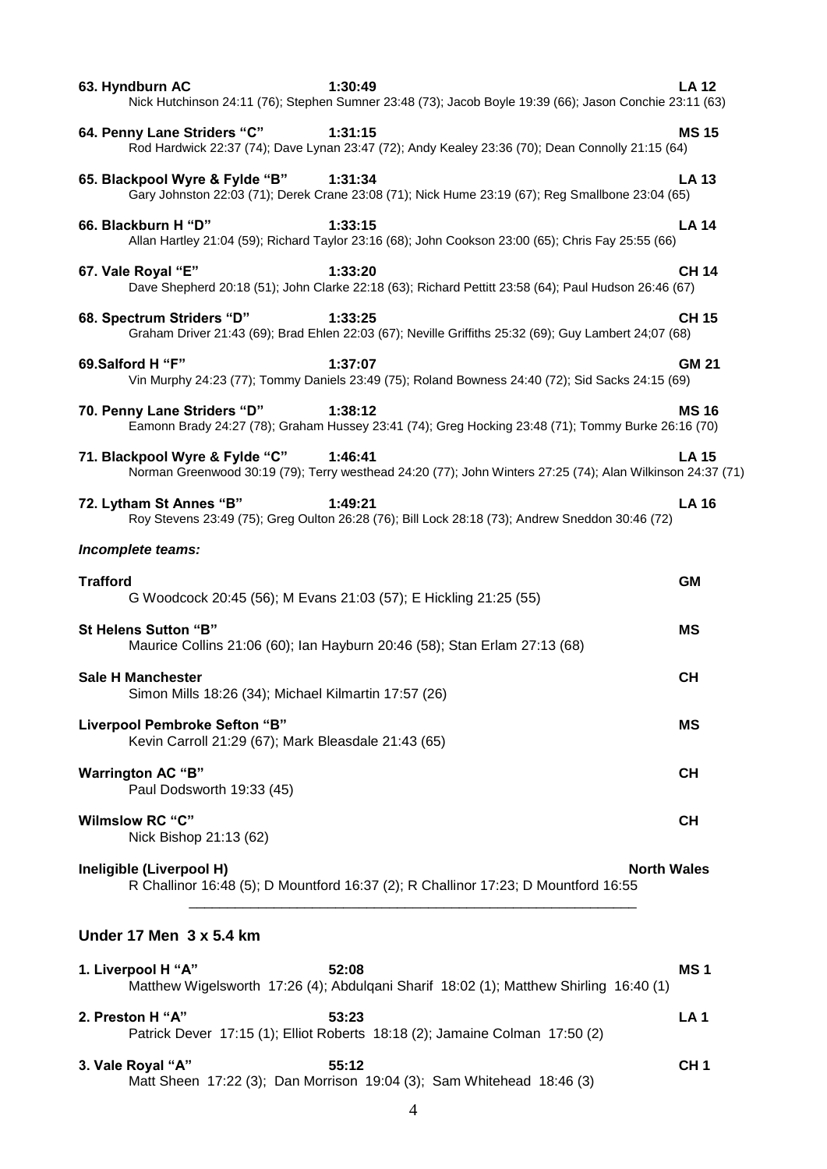| 63. Hyndburn AC<br>1:30:49<br>Nick Hutchinson 24:11 (76); Stephen Sumner 23:48 (73); Jacob Boyle 19:39 (66); Jason Conchie 23:11 (63)                   | <b>LA 12</b>       |
|---------------------------------------------------------------------------------------------------------------------------------------------------------|--------------------|
| 64. Penny Lane Striders "C"<br>1:31:15<br>Rod Hardwick 22:37 (74); Dave Lynan 23:47 (72); Andy Kealey 23:36 (70); Dean Connolly 21:15 (64)              | <b>MS15</b>        |
| 65. Blackpool Wyre & Fylde "B"<br>1:31:34<br>Gary Johnston 22:03 (71); Derek Crane 23:08 (71); Nick Hume 23:19 (67); Reg Smallbone 23:04 (65)           | <b>LA 13</b>       |
| 66. Blackburn H "D"<br>1:33:15<br>Allan Hartley 21:04 (59); Richard Taylor 23:16 (68); John Cookson 23:00 (65); Chris Fay 25:55 (66)                    | <b>LA 14</b>       |
| 67. Vale Royal "E"<br>1:33:20<br>Dave Shepherd 20:18 (51); John Clarke 22:18 (63); Richard Pettitt 23:58 (64); Paul Hudson 26:46 (67)                   | <b>CH 14</b>       |
| 68. Spectrum Striders "D"<br>1:33:25<br>Graham Driver 21:43 (69); Brad Ehlen 22:03 (67); Neville Griffiths 25:32 (69); Guy Lambert 24:07 (68)           | <b>CH 15</b>       |
| 69.Salford H "F"<br>1:37:07<br>Vin Murphy 24:23 (77); Tommy Daniels 23:49 (75); Roland Bowness 24:40 (72); Sid Sacks 24:15 (69)                         | <b>GM 21</b>       |
| 70. Penny Lane Striders "D"<br>1:38:12<br>Eamonn Brady 24:27 (78); Graham Hussey 23:41 (74); Greg Hocking 23:48 (71); Tommy Burke 26:16 (70)            | <b>MS16</b>        |
| 71. Blackpool Wyre & Fylde "C"<br>1:46:41<br>Norman Greenwood 30:19 (79); Terry westhead 24:20 (77); John Winters 27:25 (74); Alan Wilkinson 24:37 (71) | <b>LA 15</b>       |
| 1:49:21<br>72. Lytham St Annes "B"<br>Roy Stevens 23:49 (75); Greg Oulton 26:28 (76); Bill Lock 28:18 (73); Andrew Sneddon 30:46 (72)                   | <b>LA 16</b>       |
| Incomplete teams:                                                                                                                                       |                    |
| <b>Trafford</b><br>G Woodcock 20:45 (56); M Evans 21:03 (57); E Hickling 21:25 (55)                                                                     | <b>GM</b>          |
| St Helens Sutton "B"<br>Maurice Collins 21:06 (60); Ian Hayburn 20:46 (58); Stan Erlam 27:13 (68)                                                       | ΜS                 |
| <b>Sale H Manchester</b><br>Simon Mills 18:26 (34); Michael Kilmartin 17:57 (26)                                                                        | <b>CH</b>          |
| Liverpool Pembroke Sefton "B"<br>Kevin Carroll 21:29 (67); Mark Bleasdale 21:43 (65)                                                                    | МS                 |
| <b>Warrington AC "B"</b><br>Paul Dodsworth 19:33 (45)                                                                                                   | CН                 |
| <b>Wilmslow RC "C"</b><br>Nick Bishop 21:13 (62)                                                                                                        | <b>CH</b>          |
| Ineligible (Liverpool H)<br>R Challinor 16:48 (5); D Mountford 16:37 (2); R Challinor 17:23; D Mountford 16:55                                          | <b>North Wales</b> |
| Under 17 Men $3 \times 5.4$ km                                                                                                                          |                    |
| 52:08<br>1. Liverpool H "A"<br>Matthew Wigelsworth 17:26 (4); Abdulqani Sharif 18:02 (1); Matthew Shirling 16:40 (1)                                    | MS <sub>1</sub>    |
| 2. Preston H "A"<br>53:23                                                                                                                               | <b>LA1</b>         |

| 3. Vale Royal "A" | 55:12                                                                 | CH 1 |
|-------------------|-----------------------------------------------------------------------|------|
|                   | Matt Sheen 17:22 (3); Dan Morrison 19:04 (3); Sam Whitehead 18:46 (3) |      |

Patrick Dever 17:15 (1); Elliot Roberts 18:18 (2); Jamaine Colman 17:50 (2)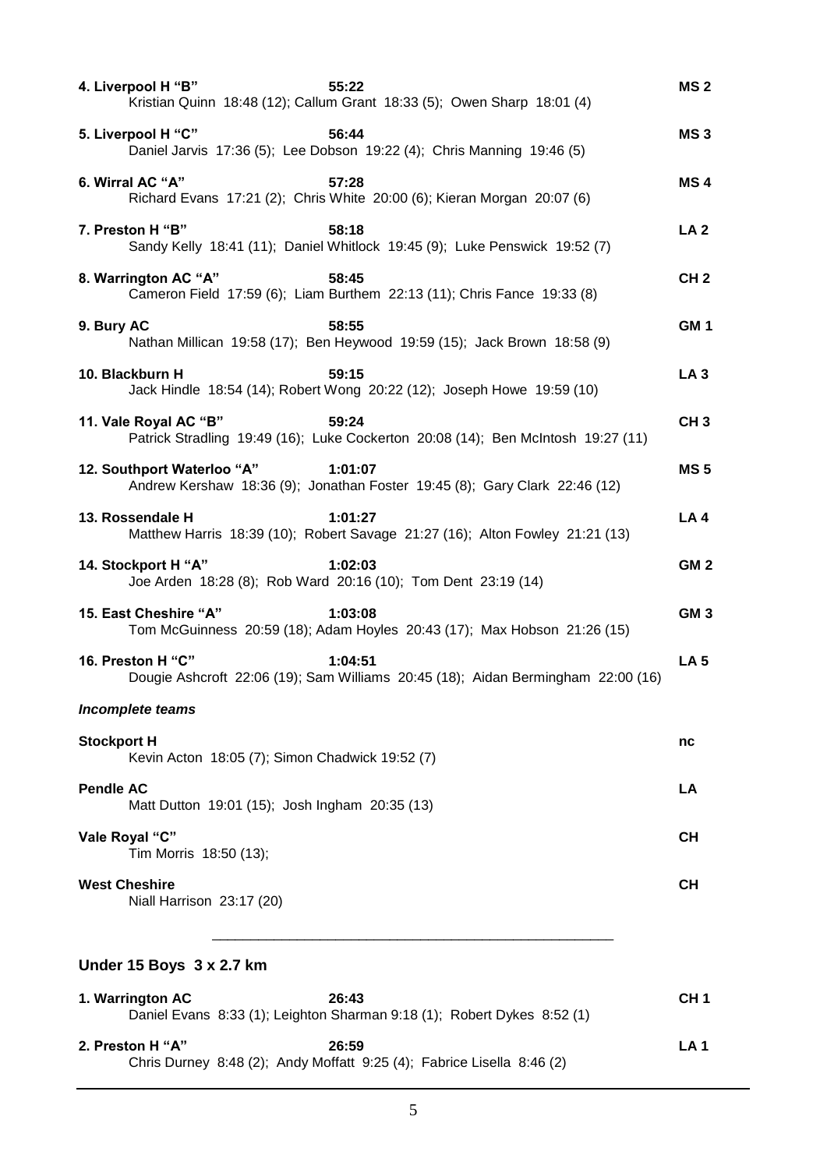| 4. Liverpool H "B"<br>55:22<br>Kristian Quinn 18:48 (12); Callum Grant 18:33 (5); Owen Sharp 18:01 (4)              | MS <sub>2</sub> |
|---------------------------------------------------------------------------------------------------------------------|-----------------|
| 5. Liverpool H "C"<br>56:44<br>Daniel Jarvis 17:36 (5); Lee Dobson 19:22 (4); Chris Manning 19:46 (5)               | MS <sub>3</sub> |
| 6. Wirral AC "A"<br>57:28<br>Richard Evans 17:21 (2); Chris White 20:00 (6); Kieran Morgan 20:07 (6)                | MS <sub>4</sub> |
| 7. Preston H "B"<br>58:18<br>Sandy Kelly 18:41 (11); Daniel Whitlock 19:45 (9); Luke Penswick 19:52 (7)             | LA 2            |
| 8. Warrington AC "A"<br>58:45<br>Cameron Field 17:59 (6); Liam Burthem 22:13 (11); Chris Fance 19:33 (8)            | CH <sub>2</sub> |
| 9. Bury AC<br>58:55<br>Nathan Millican 19:58 (17); Ben Heywood 19:59 (15); Jack Brown 18:58 (9)                     | GM <sub>1</sub> |
| 10. Blackburn H<br>59:15<br>Jack Hindle 18:54 (14); Robert Wong 20:22 (12); Joseph Howe 19:59 (10)                  | LA <sub>3</sub> |
| 11. Vale Royal AC "B"<br>59:24<br>Patrick Stradling 19:49 (16); Luke Cockerton 20:08 (14); Ben McIntosh 19:27 (11)  | CH <sub>3</sub> |
| 12. Southport Waterloo "A"<br>1:01:07<br>Andrew Kershaw 18:36 (9); Jonathan Foster 19:45 (8); Gary Clark 22:46 (12) | <b>MS5</b>      |
| 13. Rossendale H<br>1:01:27<br>Matthew Harris 18:39 (10); Robert Savage 21:27 (16); Alton Fowley 21:21 (13)         | LA 4            |
| 14. Stockport H "A"<br>1:02:03<br>Joe Arden 18:28 (8); Rob Ward 20:16 (10); Tom Dent 23:19 (14)                     | GM <sub>2</sub> |
| 15. East Cheshire "A"<br>1:03:08<br>Tom McGuinness 20:59 (18); Adam Hoyles 20:43 (17); Max Hobson 21:26 (15)        | GM <sub>3</sub> |
| 16. Preston H "C"<br>1:04:51<br>Dougie Ashcroft 22:06 (19); Sam Williams 20:45 (18); Aidan Bermingham 22:00 (16)    | <b>LA 5</b>     |
| <b>Incomplete teams</b>                                                                                             |                 |
| <b>Stockport H</b><br>Kevin Acton 18:05 (7); Simon Chadwick 19:52 (7)                                               | nc              |
| <b>Pendle AC</b><br>Matt Dutton 19:01 (15); Josh Ingham 20:35 (13)                                                  | LA              |
| Vale Royal "C"<br>Tim Morris 18:50 (13);                                                                            | <b>CH</b>       |
| <b>West Cheshire</b><br>Niall Harrison 23:17 (20)                                                                   | CН              |
| Under 15 Boys 3 x 2.7 km                                                                                            |                 |
| 1. Warrington AC<br>26:43<br>Daniel Evans 8:33 (1); Leighton Sharman 9:18 (1); Robert Dykes 8:52 (1)                | CH <sub>1</sub> |

| 2. Preston H "A" | 26:59                                                                  | LA 1 |
|------------------|------------------------------------------------------------------------|------|
|                  | Chris Durney 8:48 (2); Andy Moffatt 9:25 (4); Fabrice Lisella 8:46 (2) |      |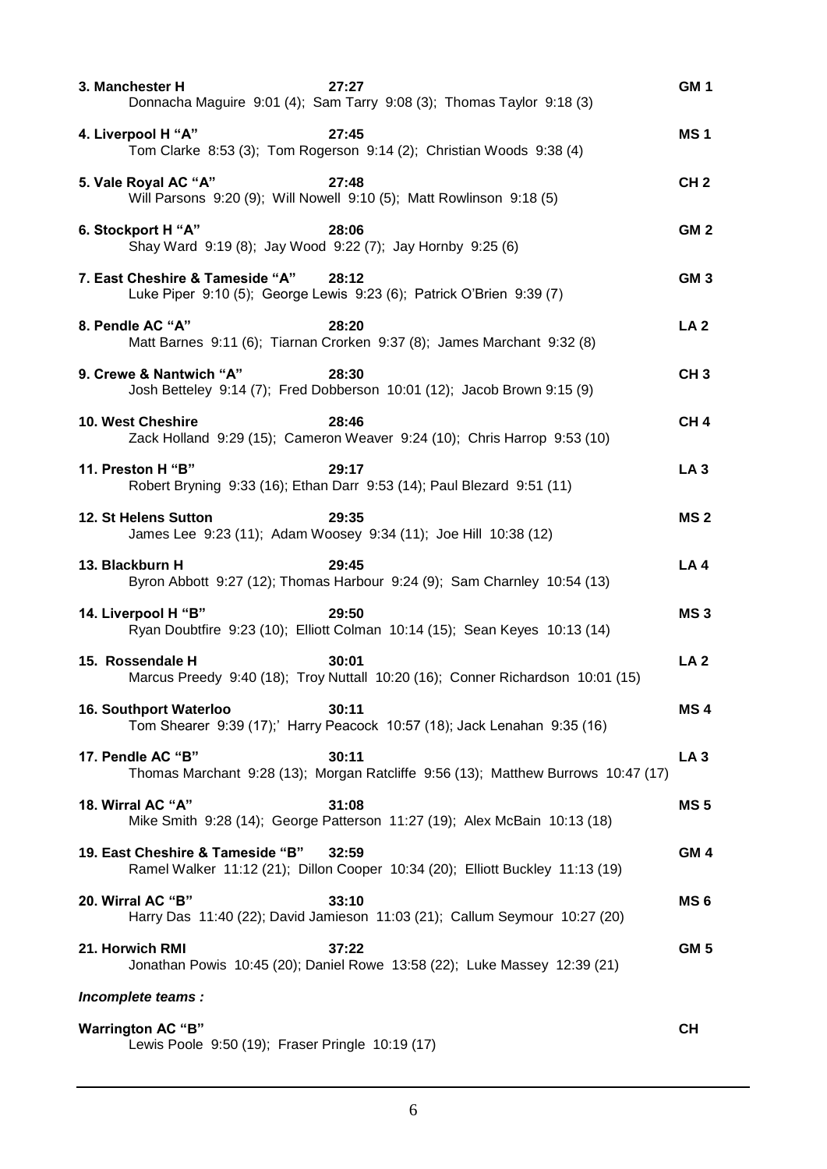| 3. Manchester H                                                              | 27:27<br>Donnacha Maguire 9:01 (4); Sam Tarry 9:08 (3); Thomas Taylor 9:18 (3)             | GM <sub>1</sub> |
|------------------------------------------------------------------------------|--------------------------------------------------------------------------------------------|-----------------|
| 4. Liverpool H "A"                                                           | 27:45<br>Tom Clarke 8:53 (3); Tom Rogerson 9:14 (2); Christian Woods 9:38 (4)              | <b>MS1</b>      |
| 5. Vale Royal AC "A"                                                         | 27:48<br>Will Parsons 9:20 (9); Will Nowell 9:10 (5); Matt Rowlinson 9:18 (5)              | CH <sub>2</sub> |
| 6. Stockport H "A"                                                           | 28:06<br>Shay Ward 9:19 (8); Jay Wood 9:22 (7); Jay Hornby 9:25 (6)                        | GM <sub>2</sub> |
| 7. East Cheshire & Tameside "A"                                              | 28:12<br>Luke Piper 9:10 (5); George Lewis 9:23 (6); Patrick O'Brien 9:39 (7)              | GM <sub>3</sub> |
| 8. Pendle AC "A"                                                             | 28:20<br>Matt Barnes 9:11 (6); Tiarnan Crorken 9:37 (8); James Marchant 9:32 (8)           | LA <sub>2</sub> |
| 9. Crewe & Nantwich "A"                                                      | 28:30<br>Josh Betteley 9:14 (7); Fred Dobberson 10:01 (12); Jacob Brown 9:15 (9)           | CH <sub>3</sub> |
| 10. West Cheshire                                                            | 28:46<br>Zack Holland 9:29 (15); Cameron Weaver 9:24 (10); Chris Harrop 9:53 (10)          | CH <sub>4</sub> |
| 11. Preston H "B"                                                            | 29:17<br>Robert Bryning 9:33 (16); Ethan Darr 9:53 (14); Paul Blezard 9:51 (11)            | LA <sub>3</sub> |
| 12. St Helens Sutton                                                         | 29:35<br>James Lee 9:23 (11); Adam Woosey 9:34 (11); Joe Hill 10:38 (12)                   | <b>MS2</b>      |
| 13. Blackburn H                                                              | 29:45<br>Byron Abbott 9:27 (12); Thomas Harbour 9:24 (9); Sam Charnley 10:54 (13)          | LA 4            |
| 14. Liverpool H "B"                                                          | 29:50<br>Ryan Doubtfire 9:23 (10); Elliott Colman 10:14 (15); Sean Keyes 10:13 (14)        | MS <sub>3</sub> |
| 15. Rossendale H                                                             | 30:01<br>Marcus Preedy 9:40 (18); Troy Nuttall 10:20 (16); Conner Richardson 10:01 (15)    | <b>LA 2</b>     |
| 16. Southport Waterloo                                                       | 30:11<br>Tom Shearer 9:39 (17);' Harry Peacock 10:57 (18); Jack Lenahan 9:35 (16)          | MS <sub>4</sub> |
| 17. Pendle AC "B"                                                            | 30:11<br>Thomas Marchant 9:28 (13); Morgan Ratcliffe 9:56 (13); Matthew Burrows 10:47 (17) | LA <sub>3</sub> |
| 18. Wirral AC "A"                                                            | 31:08<br>Mike Smith 9:28 (14); George Patterson 11:27 (19); Alex McBain 10:13 (18)         | <b>MS5</b>      |
| 19. East Cheshire & Tameside "B"                                             | 32:59<br>Ramel Walker 11:12 (21); Dillon Cooper 10:34 (20); Elliott Buckley 11:13 (19)     | GM <sub>4</sub> |
| 20. Wirral AC "B"                                                            | 33:10<br>Harry Das 11:40 (22); David Jamieson 11:03 (21); Callum Seymour 10:27 (20)        | MS <sub>6</sub> |
| 21. Horwich RMI                                                              | 37:22<br>Jonathan Powis 10:45 (20); Daniel Rowe 13:58 (22); Luke Massey 12:39 (21)         | <b>GM 5</b>     |
| Incomplete teams :                                                           |                                                                                            |                 |
| <b>Warrington AC "B"</b><br>Lewis Poole 9:50 (19); Fraser Pringle 10:19 (17) |                                                                                            | <b>CH</b>       |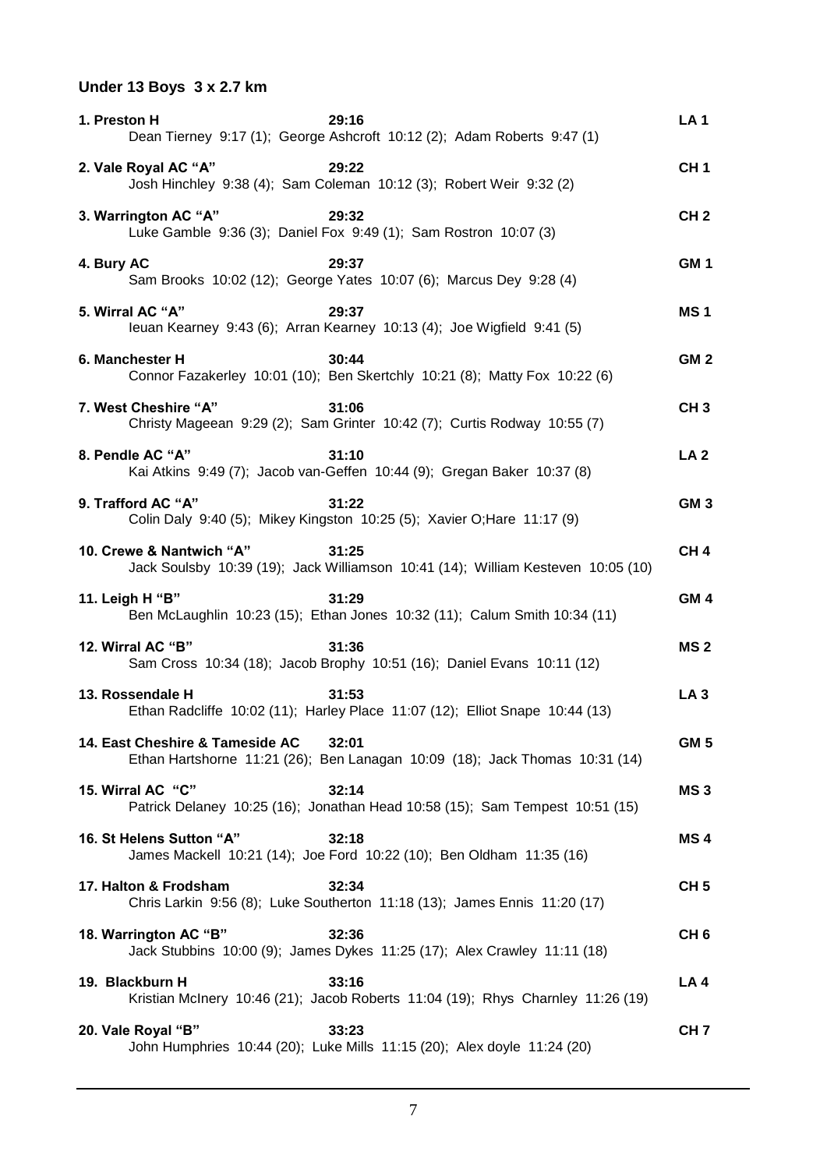# **Under 13 Boys 3 x 2.7 km**

| 1. Preston H                    | 29:16<br>Dean Tierney 9:17 (1); George Ashcroft 10:12 (2); Adam Roberts 9:47 (1)          | LA <sub>1</sub> |
|---------------------------------|-------------------------------------------------------------------------------------------|-----------------|
| 2. Vale Royal AC "A"            | 29:22<br>Josh Hinchley 9:38 (4); Sam Coleman 10:12 (3); Robert Weir 9:32 (2)              | CH <sub>1</sub> |
| 3. Warrington AC "A"            | 29:32<br>Luke Gamble 9:36 (3); Daniel Fox 9:49 (1); Sam Rostron 10:07 (3)                 | CH <sub>2</sub> |
| 4. Bury AC                      | 29:37<br>Sam Brooks 10:02 (12); George Yates 10:07 (6); Marcus Dey 9:28 (4)               | GM <sub>1</sub> |
| 5. Wirral AC "A"                | 29:37<br>leuan Kearney 9:43 (6); Arran Kearney 10:13 (4); Joe Wigfield 9:41 (5)           | <b>MS1</b>      |
| 6. Manchester H                 | 30:44<br>Connor Fazakerley 10:01 (10); Ben Skertchly 10:21 (8); Matty Fox 10:22 (6)       | GM <sub>2</sub> |
| 7. West Cheshire "A"            | 31:06<br>Christy Mageean 9:29 (2); Sam Grinter 10:42 (7); Curtis Rodway 10:55 (7)         | CH <sub>3</sub> |
| 8. Pendle AC "A"                | 31:10<br>Kai Atkins 9:49 (7); Jacob van-Geffen 10:44 (9); Gregan Baker 10:37 (8)          | LA <sub>2</sub> |
| 9. Trafford AC "A"              | 31:22<br>Colin Daly 9:40 (5); Mikey Kingston 10:25 (5); Xavier O; Hare 11:17 (9)          | GM <sub>3</sub> |
| 10. Crewe & Nantwich "A"        | 31:25<br>Jack Soulsby 10:39 (19); Jack Williamson 10:41 (14); William Kesteven 10:05 (10) | CH <sub>4</sub> |
| 11. Leigh H "B"                 | 31:29<br>Ben McLaughlin 10:23 (15); Ethan Jones 10:32 (11); Calum Smith 10:34 (11)        | GM <sub>4</sub> |
| 12. Wirral AC "B"               | 31:36<br>Sam Cross 10:34 (18); Jacob Brophy 10:51 (16); Daniel Evans 10:11 (12)           | <b>MS2</b>      |
| 13. Rossendale H                | 31:53<br>Ethan Radcliffe 10:02 (11); Harley Place 11:07 (12); Elliot Snape 10:44 (13)     | LA <sub>3</sub> |
| 14. East Cheshire & Tameside AC | 32:01<br>Ethan Hartshorne 11:21 (26); Ben Lanagan 10:09 (18); Jack Thomas 10:31 (14)      | GM <sub>5</sub> |
| 15. Wirral AC "C"               | 32:14<br>Patrick Delaney 10:25 (16); Jonathan Head 10:58 (15); Sam Tempest 10:51 (15)     | MS <sub>3</sub> |
| 16. St Helens Sutton "A"        | 32:18<br>James Mackell 10:21 (14); Joe Ford 10:22 (10); Ben Oldham 11:35 (16)             | MS <sub>4</sub> |
| 17. Halton & Frodsham           | 32:34<br>Chris Larkin 9:56 (8); Luke Southerton 11:18 (13); James Ennis 11:20 (17)        | CH <sub>5</sub> |
| 18. Warrington AC "B"           | 32:36<br>Jack Stubbins 10:00 (9); James Dykes 11:25 (17); Alex Crawley 11:11 (18)         | CH <sub>6</sub> |
| 19. Blackburn H                 | 33:16<br>Kristian McInery 10:46 (21); Jacob Roberts 11:04 (19); Rhys Charnley 11:26 (19)  | LA 4            |
| 20. Vale Royal "B"              | 33:23<br>John Humphries 10:44 (20); Luke Mills 11:15 (20); Alex doyle 11:24 (20)          | CH <sub>7</sub> |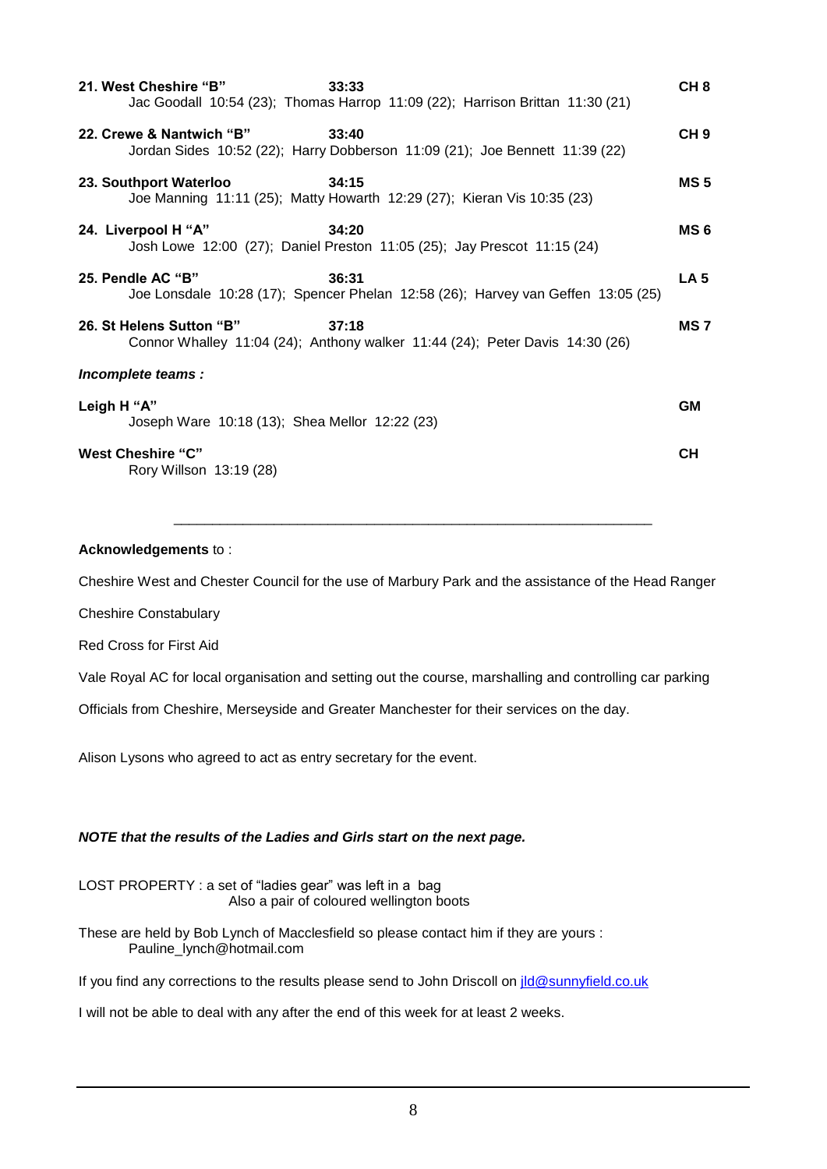| 21. West Cheshire "B"                                         | 33:33<br>Jac Goodall 10:54 (23); Thomas Harrop 11:09 (22); Harrison Brittan 11:30 (21)    | CH <sub>8</sub> |
|---------------------------------------------------------------|-------------------------------------------------------------------------------------------|-----------------|
| 22. Crewe & Nantwich "B"                                      | 33:40<br>Jordan Sides 10:52 (22); Harry Dobberson 11:09 (21); Joe Bennett 11:39 (22)      | CH <sub>9</sub> |
| 23. Southport Waterloo                                        | 34:15<br>Joe Manning 11:11 (25); Matty Howarth 12:29 (27); Kieran Vis 10:35 (23)          | <b>MS5</b>      |
| 24. Liverpool H "A"                                           | 34:20<br>Josh Lowe 12:00 (27); Daniel Preston 11:05 (25); Jay Prescot 11:15 (24)          | MS <sub>6</sub> |
| 25. Pendle AC "B"                                             | 36:31<br>Joe Lonsdale 10:28 (17); Spencer Phelan 12:58 (26); Harvey van Geffen 13:05 (25) | LA <sub>5</sub> |
| 26. St Helens Sutton "B"                                      | 37:18<br>Connor Whalley 11:04 (24); Anthony walker 11:44 (24); Peter Davis 14:30 (26)     | MS <sub>7</sub> |
| Incomplete teams :                                            |                                                                                           |                 |
| Leigh H "A"<br>Joseph Ware 10:18 (13); Shea Mellor 12:22 (23) |                                                                                           | <b>GM</b>       |
| <b>West Cheshire "C"</b><br>Rory Willson 13:19 (28)           |                                                                                           | <b>CH</b>       |

### **Acknowledgements** to :

Cheshire West and Chester Council for the use of Marbury Park and the assistance of the Head Ranger

\_\_\_\_\_\_\_\_\_\_\_\_\_\_\_\_\_\_\_\_\_\_\_\_\_\_\_\_\_\_\_\_\_\_\_\_\_\_\_\_\_\_\_\_\_\_\_\_\_\_\_\_\_\_\_\_\_\_\_\_\_\_

Cheshire Constabulary

Red Cross for First Aid

Vale Royal AC for local organisation and setting out the course, marshalling and controlling car parking

Officials from Cheshire, Merseyside and Greater Manchester for their services on the day.

Alison Lysons who agreed to act as entry secretary for the event.

### *NOTE that the results of the Ladies and Girls start on the next page.*

LOST PROPERTY : a set of "ladies gear" was left in a bag Also a pair of coloured wellington boots

These are held by Bob Lynch of Macclesfield so please contact him if they are yours : Pauline\_lynch@hotmail.com

If you find any corrections to the results please send to John Driscoll on  $ild@sumf$ ield.co.uk

I will not be able to deal with any after the end of this week for at least 2 weeks.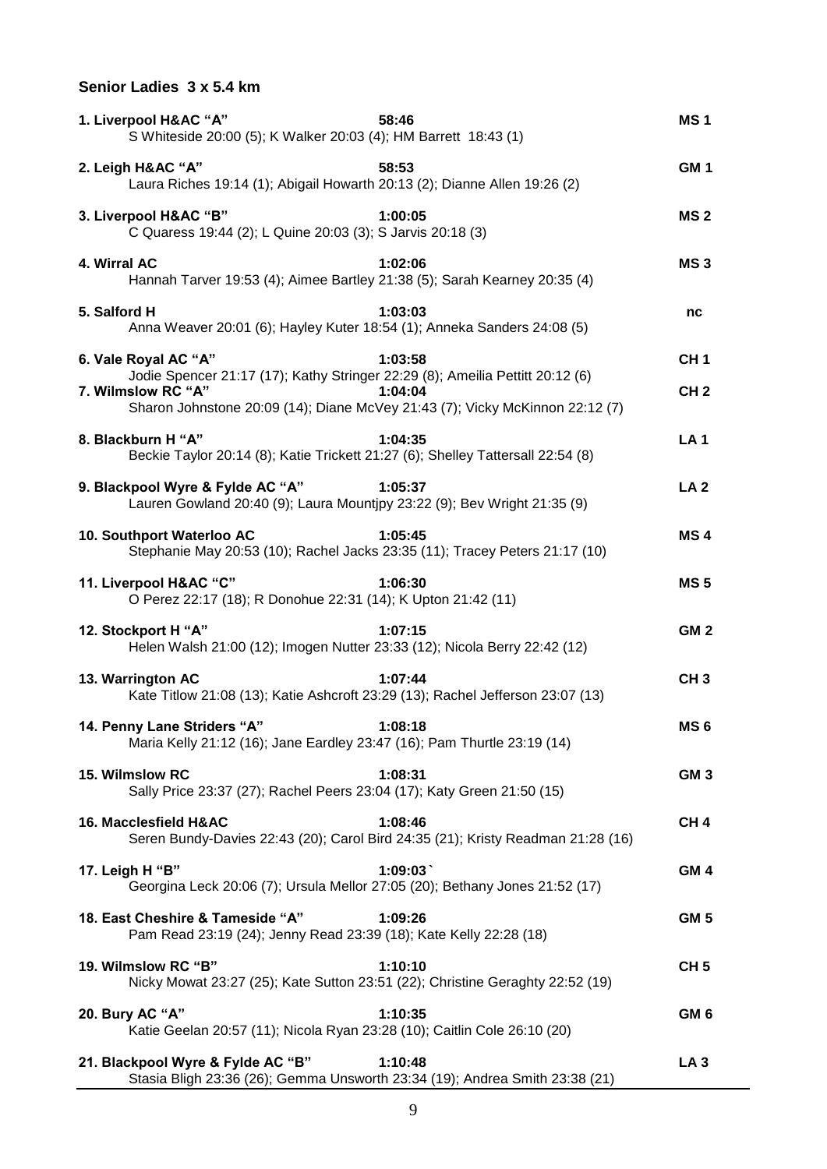# **Senior Ladies 3 x 5.4 km**

| 1. Liverpool H&AC "A"<br>58:46<br>S Whiteside 20:00 (5); K Walker 20:03 (4); HM Barrett 18:43 (1)                                                                                                                                 | <b>MS1</b>                         |
|-----------------------------------------------------------------------------------------------------------------------------------------------------------------------------------------------------------------------------------|------------------------------------|
| 58:53<br>2. Leigh H&AC "A"<br>Laura Riches 19:14 (1); Abigail Howarth 20:13 (2); Dianne Allen 19:26 (2)                                                                                                                           | GM <sub>1</sub>                    |
| 3. Liverpool H&AC "B"<br>1:00:05<br>C Quaress 19:44 (2); L Quine 20:03 (3); S Jarvis 20:18 (3)                                                                                                                                    | <b>MS2</b>                         |
| 4. Wirral AC<br>1:02:06<br>Hannah Tarver 19:53 (4); Aimee Bartley 21:38 (5); Sarah Kearney 20:35 (4)                                                                                                                              | MS <sub>3</sub>                    |
| 5. Salford H<br>1:03:03<br>Anna Weaver 20:01 (6); Hayley Kuter 18:54 (1); Anneka Sanders 24:08 (5)                                                                                                                                | nc                                 |
| 6. Vale Royal AC "A"<br>1:03:58<br>Jodie Spencer 21:17 (17); Kathy Stringer 22:29 (8); Ameilia Pettitt 20:12 (6)<br>7. Wilmslow RC "A"<br>1:04:04<br>Sharon Johnstone 20:09 (14); Diane McVey 21:43 (7); Vicky McKinnon 22:12 (7) | CH <sub>1</sub><br>CH <sub>2</sub> |
| 8. Blackburn H "A"<br>1:04:35<br>Beckie Taylor 20:14 (8); Katie Trickett 21:27 (6); Shelley Tattersall 22:54 (8)                                                                                                                  | <b>LA1</b>                         |
| 9. Blackpool Wyre & Fylde AC "A"<br>1:05:37<br>Lauren Gowland 20:40 (9); Laura Mountjpy 23:22 (9); Bev Wright 21:35 (9)                                                                                                           | <b>LA 2</b>                        |
| 1:05:45<br>10. Southport Waterloo AC<br>Stephanie May 20:53 (10); Rachel Jacks 23:35 (11); Tracey Peters 21:17 (10)                                                                                                               | MS <sub>4</sub>                    |
| 11. Liverpool H&AC "C"<br>1:06:30<br>O Perez 22:17 (18); R Donohue 22:31 (14); K Upton 21:42 (11)                                                                                                                                 | <b>MS5</b>                         |
| 12. Stockport H "A"<br>1:07:15<br>Helen Walsh 21:00 (12); Imogen Nutter 23:33 (12); Nicola Berry 22:42 (12)                                                                                                                       | GM <sub>2</sub>                    |
| 13. Warrington AC<br>1:07:44<br>Kate Titlow 21:08 (13); Katie Ashcroft 23:29 (13); Rachel Jefferson 23:07 (13)                                                                                                                    | CH <sub>3</sub>                    |
| 14. Penny Lane Striders "A"<br>1:08:18<br>Maria Kelly 21:12 (16); Jane Eardley 23:47 (16); Pam Thurtle 23:19 (14)                                                                                                                 | MS <sub>6</sub>                    |
| 15. Wilmslow RC<br>1:08:31<br>Sally Price 23:37 (27); Rachel Peers 23:04 (17); Katy Green 21:50 (15)                                                                                                                              | GM <sub>3</sub>                    |
| 16. Macclesfield H&AC<br>1:08:46<br>Seren Bundy-Davies 22:43 (20); Carol Bird 24:35 (21); Kristy Readman 21:28 (16)                                                                                                               | CH <sub>4</sub>                    |
| 1:09:03<br>17. Leigh H "B"<br>Georgina Leck 20:06 (7); Ursula Mellor 27:05 (20); Bethany Jones 21:52 (17)                                                                                                                         | GM <sub>4</sub>                    |
| 18. East Cheshire & Tameside "A"<br>1:09:26<br>Pam Read 23:19 (24); Jenny Read 23:39 (18); Kate Kelly 22:28 (18)                                                                                                                  | GM <sub>5</sub>                    |
| 19. Wilmslow RC "B"<br>1:10:10<br>Nicky Mowat 23:27 (25); Kate Sutton 23:51 (22); Christine Geraghty 22:52 (19)                                                                                                                   | CH <sub>5</sub>                    |
| 20. Bury AC "A"<br>1:10:35<br>Katie Geelan 20:57 (11); Nicola Ryan 23:28 (10); Caitlin Cole 26:10 (20)                                                                                                                            | GM <sub>6</sub>                    |
| 21. Blackpool Wyre & Fylde AC "B"<br>1:10:48<br>Stasia Bligh 23:36 (26); Gemma Unsworth 23:34 (19); Andrea Smith 23:38 (21)                                                                                                       | LA <sub>3</sub>                    |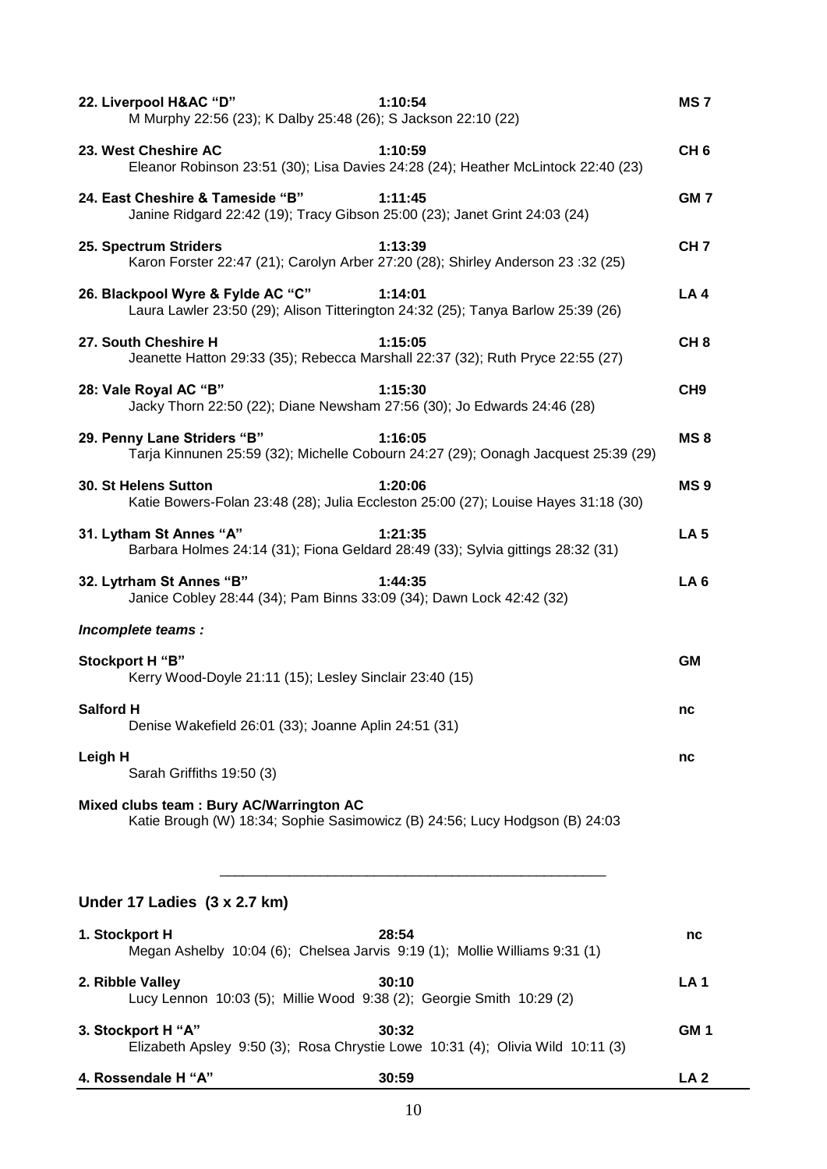| 22. Liverpool H&AC "D"<br>1:10:54<br>M Murphy 22:56 (23); K Dalby 25:48 (26); S Jackson 22:10 (22)                               | MS 7            |
|----------------------------------------------------------------------------------------------------------------------------------|-----------------|
| 23. West Cheshire AC<br>1:10:59<br>Eleanor Robinson 23:51 (30); Lisa Davies 24:28 (24); Heather McLintock 22:40 (23)             | CH <sub>6</sub> |
| 24. East Cheshire & Tameside "B"<br>1:11:45<br>Janine Ridgard 22:42 (19); Tracy Gibson 25:00 (23); Janet Grint 24:03 (24)        | GM <sub>7</sub> |
| 1:13:39<br>25. Spectrum Striders<br>Karon Forster 22:47 (21); Carolyn Arber 27:20 (28); Shirley Anderson 23:32 (25)              | CH <sub>7</sub> |
| 26. Blackpool Wyre & Fylde AC "C"<br>1:14:01<br>Laura Lawler 23:50 (29); Alison Titterington 24:32 (25); Tanya Barlow 25:39 (26) | LA4             |
| 27. South Cheshire H<br>1:15:05<br>Jeanette Hatton 29:33 (35); Rebecca Marshall 22:37 (32); Ruth Pryce 22:55 (27)                | CH <sub>8</sub> |
| 28: Vale Royal AC "B"<br>1:15:30<br>Jacky Thorn 22:50 (22); Diane Newsham 27:56 (30); Jo Edwards 24:46 (28)                      | CH <sub>9</sub> |
| 29. Penny Lane Striders "B"<br>1:16:05<br>Tarja Kinnunen 25:59 (32); Michelle Cobourn 24:27 (29); Oonagh Jacquest 25:39 (29)     | MS <sub>8</sub> |
| 30. St Helens Sutton<br>1:20:06<br>Katie Bowers-Folan 23:48 (28); Julia Eccleston 25:00 (27); Louise Hayes 31:18 (30)            | MS <sub>9</sub> |
| 31. Lytham St Annes "A"<br>1:21:35<br>Barbara Holmes 24:14 (31); Fiona Geldard 28:49 (33); Sylvia gittings 28:32 (31)            | LA <sub>5</sub> |
| 32. Lytrham St Annes "B"<br>1:44:35<br>Janice Cobley 28:44 (34); Pam Binns 33:09 (34); Dawn Lock 42:42 (32)                      | LA <sub>6</sub> |
| Incomplete teams :                                                                                                               |                 |
| <b>Stockport H "B"</b><br>Kerry Wood-Doyle 21:11 (15); Lesley Sinclair 23:40 (15)                                                | <b>GM</b>       |
| <b>Salford H</b><br>Denise Wakefield 26:01 (33); Joanne Aplin 24:51 (31)                                                         | nc              |
| Leigh H<br>Sarah Griffiths 19:50 (3)                                                                                             | nc              |
| Mixed clubs team : Bury AC/Warrington AC<br>Katie Brough (W) 18:34; Sophie Sasimowicz (B) 24:56; Lucy Hodgson (B) 24:03          |                 |
| Under 17 Ladies (3 x 2.7 km)                                                                                                     |                 |
| 1. Stockport H<br>28:54<br>Megan Ashelby 10:04 (6); Chelsea Jarvis 9:19 (1); Mollie Williams 9:31 (1)                            | nc              |
| 2. Ribble Valley<br>30:10<br>Lucy Lennon 10:03 (5); Millie Wood 9:38 (2); Georgie Smith 10:29 (2)                                | <b>LA1</b>      |
| 3. Stockport H "A"<br>30:32<br>Elizabeth Apsley 9:50 (3); Rosa Chrystie Lowe 10:31 (4); Olivia Wild 10:11 (3)                    | GM <sub>1</sub> |
| 4. Rossendale H "A"<br>30:59                                                                                                     | LA <sub>2</sub> |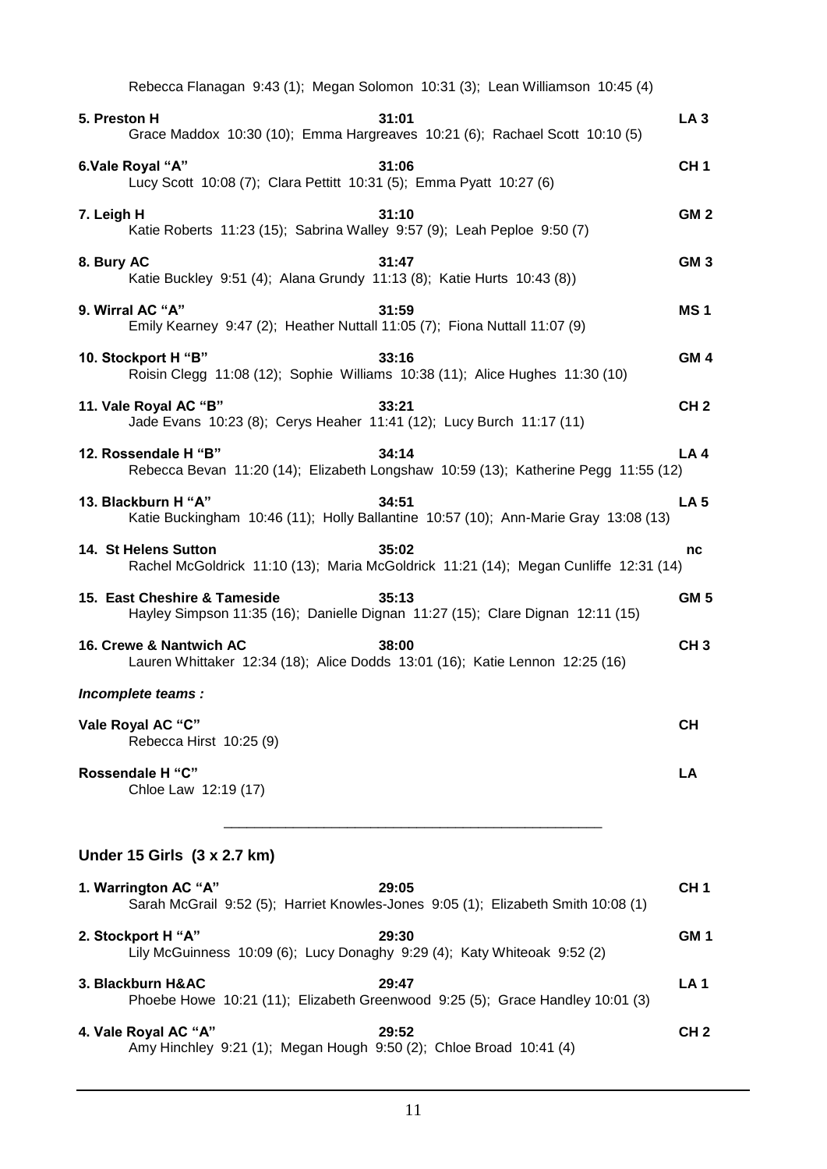| Rebecca Flanagan 9:43 (1); Megan Solomon 10:31 (3); Lean Williamson 10:45 (4)                                           |                 |
|-------------------------------------------------------------------------------------------------------------------------|-----------------|
| 31:01<br>5. Preston H<br>Grace Maddox 10:30 (10); Emma Hargreaves 10:21 (6); Rachael Scott 10:10 (5)                    | LA <sub>3</sub> |
| 6.Vale Royal "A"<br>31:06<br>Lucy Scott 10:08 (7); Clara Pettitt 10:31 (5); Emma Pyatt 10:27 (6)                        | CH <sub>1</sub> |
| 31:10<br>7. Leigh H<br>Katie Roberts 11:23 (15); Sabrina Walley 9:57 (9); Leah Peploe 9:50 (7)                          | GM <sub>2</sub> |
| 31:47<br>8. Bury AC<br>Katie Buckley 9:51 (4); Alana Grundy 11:13 (8); Katie Hurts 10:43 (8))                           | GM <sub>3</sub> |
| 9. Wirral AC "A"<br>31:59<br>Emily Kearney 9:47 (2); Heather Nuttall 11:05 (7); Fiona Nuttall 11:07 (9)                 | MS <sub>1</sub> |
| 10. Stockport H "B"<br>33:16<br>Roisin Clegg 11:08 (12); Sophie Williams 10:38 (11); Alice Hughes 11:30 (10)            | GM <sub>4</sub> |
| 11. Vale Royal AC "B"<br>33:21<br>Jade Evans 10:23 (8); Cerys Heaher 11:41 (12); Lucy Burch 11:17 (11)                  | CH <sub>2</sub> |
| 12. Rossendale H "B"<br>34:14<br>Rebecca Bevan 11:20 (14); Elizabeth Longshaw 10:59 (13); Katherine Pegg 11:55 (12)     | LA4             |
| 13. Blackburn H "A"<br>34:51<br>Katie Buckingham 10:46 (11); Holly Ballantine 10:57 (10); Ann-Marie Gray 13:08 (13)     | <b>LA 5</b>     |
| 14. St Helens Sutton<br>35:02<br>Rachel McGoldrick 11:10 (13); Maria McGoldrick 11:21 (14); Megan Cunliffe 12:31 (14)   | nc              |
| 15. East Cheshire & Tameside<br>35:13<br>Hayley Simpson 11:35 (16); Danielle Dignan 11:27 (15); Clare Dignan 12:11 (15) | GM <sub>5</sub> |
| 16. Crewe & Nantwich AC<br>38:00<br>Lauren Whittaker 12:34 (18); Alice Dodds 13:01 (16); Katie Lennon 12:25 (16)        | CH <sub>3</sub> |
| Incomplete teams :                                                                                                      |                 |
| Vale Royal AC "C"<br>Rebecca Hirst 10:25 (9)                                                                            | <b>CH</b>       |
| Rossendale H "C"<br>Chloe Law 12:19 (17)                                                                                | LA              |
| Under 15 Girls (3 x 2.7 km)                                                                                             |                 |
| 1. Warrington AC "A"<br>29:05<br>Sarah McGrail 9:52 (5); Harriet Knowles-Jones 9:05 (1); Elizabeth Smith 10:08 (1)      | CH <sub>1</sub> |
| 2. Stockport H "A"<br>29:30<br>Lily McGuinness 10:09 (6); Lucy Donaghy 9:29 (4); Katy Whiteoak 9:52 (2)                 | GM <sub>1</sub> |
| 3. Blackburn H&AC<br>29:47<br>Phoebe Howe 10:21 (11); Elizabeth Greenwood 9:25 (5); Grace Handley 10:01 (3)             | LA <sub>1</sub> |
| 4. Vale Royal AC "A"<br>29:52<br>Amy Hinchley 9:21 (1); Megan Hough 9:50 (2); Chloe Broad 10:41 (4)                     | CH <sub>2</sub> |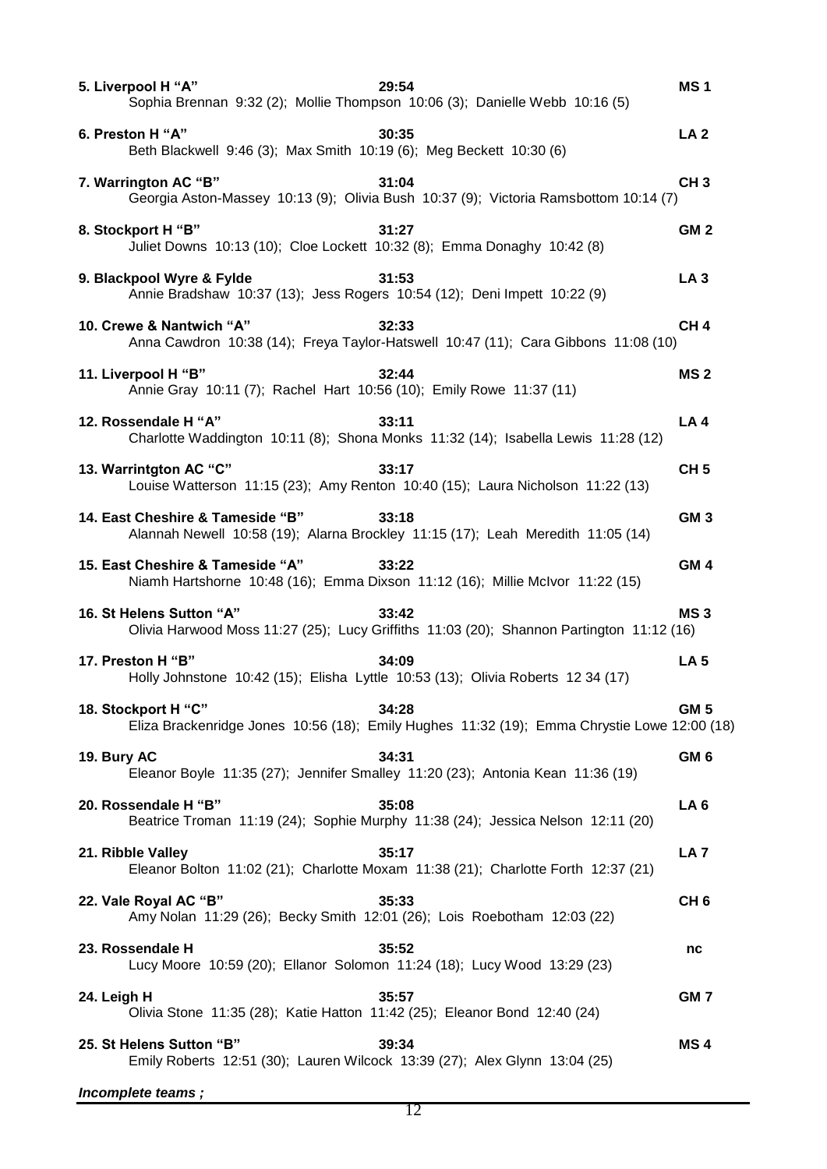| 5. Liverpool H "A"                                                                                     | 29:54<br>Sophia Brennan 9:32 (2); Mollie Thompson 10:06 (3); Danielle Webb 10:16 (5)                 | MS <sub>1</sub> |
|--------------------------------------------------------------------------------------------------------|------------------------------------------------------------------------------------------------------|-----------------|
| 6. Preston H "A"<br>Beth Blackwell 9:46 (3); Max Smith 10:19 (6); Meg Beckett 10:30 (6)                | 30:35                                                                                                | LA <sub>2</sub> |
| 7. Warrington AC "B"                                                                                   | 31:04<br>Georgia Aston-Massey 10:13 (9); Olivia Bush 10:37 (9); Victoria Ramsbottom 10:14 (7)        | CH <sub>3</sub> |
| 8. Stockport H "B"<br>Juliet Downs 10:13 (10); Cloe Lockett 10:32 (8); Emma Donaghy 10:42 (8)          | 31:27                                                                                                | GM <sub>2</sub> |
| 9. Blackpool Wyre & Fylde<br>Annie Bradshaw 10:37 (13); Jess Rogers 10:54 (12); Deni Impett 10:22 (9)  | 31:53                                                                                                | LA <sub>3</sub> |
| 10. Crewe & Nantwich "A"                                                                               | 32:33<br>Anna Cawdron 10:38 (14); Freya Taylor-Hatswell 10:47 (11); Cara Gibbons 11:08 (10)          | CH <sub>4</sub> |
| 11. Liverpool H "B"<br>Annie Gray 10:11 (7); Rachel Hart 10:56 (10); Emily Rowe 11:37 (11)             | 32:44                                                                                                | <b>MS2</b>      |
| 12. Rossendale H "A"                                                                                   | 33:11<br>Charlotte Waddington 10:11 (8); Shona Monks 11:32 (14); Isabella Lewis 11:28 (12)           | LA <sub>4</sub> |
| 13. Warrintgton AC "C"                                                                                 | 33:17<br>Louise Watterson 11:15 (23); Amy Renton 10:40 (15); Laura Nicholson 11:22 (13)              | CH <sub>5</sub> |
| 14. East Cheshire & Tameside "B"                                                                       | 33:18<br>Alannah Newell 10:58 (19); Alarna Brockley 11:15 (17); Leah Meredith 11:05 (14)             | GM <sub>3</sub> |
| 15. East Cheshire & Tameside "A"                                                                       | 33:22<br>Niamh Hartshorne 10:48 (16); Emma Dixson 11:12 (16); Millie McIvor 11:22 (15)               | GM <sub>4</sub> |
| 16. St Helens Sutton "A"                                                                               | 33:42<br>Olivia Harwood Moss 11:27 (25); Lucy Griffiths 11:03 (20); Shannon Partington 11:12 (16)    | MS <sub>3</sub> |
| 17. Preston H "B"                                                                                      | 34:09<br>Holly Johnstone 10:42 (15); Elisha Lyttle 10:53 (13); Olivia Roberts 12 34 (17)             | <b>LA 5</b>     |
| 18. Stockport H "C"                                                                                    | 34:28<br>Eliza Brackenridge Jones 10:56 (18); Emily Hughes 11:32 (19); Emma Chrystie Lowe 12:00 (18) | GM <sub>5</sub> |
| 19. Bury AC<br>Eleanor Boyle 11:35 (27); Jennifer Smalley 11:20 (23); Antonia Kean 11:36 (19)          | 34:31                                                                                                | GM <sub>6</sub> |
|                                                                                                        |                                                                                                      |                 |
| 20. Rossendale H "B"                                                                                   | 35:08<br>Beatrice Troman 11:19 (24); Sophie Murphy 11:38 (24); Jessica Nelson 12:11 (20)             | LA <sub>6</sub> |
| 21. Ribble Valley                                                                                      | 35:17<br>Eleanor Bolton 11:02 (21); Charlotte Moxam 11:38 (21); Charlotte Forth 12:37 (21)           | LA <sub>7</sub> |
| 22. Vale Royal AC "B"<br>Amy Nolan 11:29 (26); Becky Smith 12:01 (26); Lois Roebotham 12:03 (22)       | 35:33                                                                                                | CH <sub>6</sub> |
| 23. Rossendale H<br>Lucy Moore 10:59 (20); Ellanor Solomon 11:24 (18); Lucy Wood 13:29 (23)            | 35:52                                                                                                | nc              |
| 24. Leigh H<br>Olivia Stone 11:35 (28); Katie Hatton 11:42 (25); Eleanor Bond 12:40 (24)               | 35:57                                                                                                | GM 7            |
| 25. St Helens Sutton "B"<br>Emily Roberts 12:51 (30); Lauren Wilcock 13:39 (27); Alex Glynn 13:04 (25) | 39:34                                                                                                | MS <sub>4</sub> |

*Incomplete teams ;*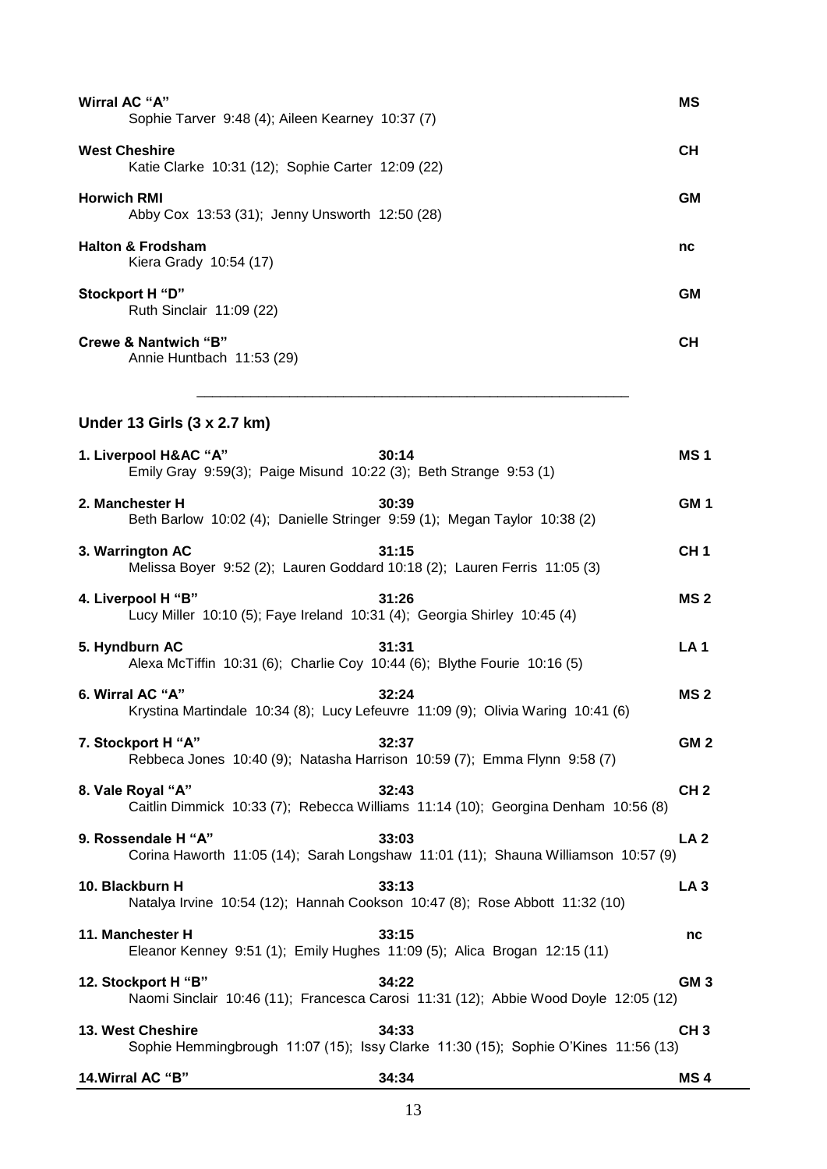| Wirral AC "A"<br>Sophie Tarver 9:48 (4); Aileen Kearney 10:37 (7)                                                   | ΜS              |
|---------------------------------------------------------------------------------------------------------------------|-----------------|
| <b>West Cheshire</b><br>Katie Clarke 10:31 (12); Sophie Carter 12:09 (22)                                           | <b>CH</b>       |
| <b>Horwich RMI</b><br>Abby Cox 13:53 (31); Jenny Unsworth 12:50 (28)                                                | <b>GM</b>       |
| <b>Halton &amp; Frodsham</b><br>Kiera Grady 10:54 (17)                                                              | nc              |
| Stockport H "D"<br>Ruth Sinclair 11:09 (22)                                                                         | <b>GM</b>       |
| <b>Crewe &amp; Nantwich "B"</b><br>Annie Huntbach 11:53 (29)                                                        | <b>CH</b>       |
| Under 13 Girls (3 x 2.7 km)                                                                                         |                 |
| 1. Liverpool H&AC "A"<br>30:14<br>Emily Gray 9:59(3); Paige Misund 10:22 (3); Beth Strange 9:53 (1)                 | MS <sub>1</sub> |
| 30:39<br>2. Manchester H<br>Beth Barlow 10:02 (4); Danielle Stringer 9:59 (1); Megan Taylor 10:38 (2)               | GM <sub>1</sub> |
| 3. Warrington AC<br>31:15<br>Melissa Boyer 9:52 (2); Lauren Goddard 10:18 (2); Lauren Ferris 11:05 (3)              | CH <sub>1</sub> |
| 4. Liverpool H "B"<br>31:26<br>Lucy Miller 10:10 (5); Faye Ireland 10:31 (4); Georgia Shirley 10:45 (4)             | MS <sub>2</sub> |
| 5. Hyndburn AC<br>31:31<br>Alexa McTiffin 10:31 (6); Charlie Coy 10:44 (6); Blythe Fourie 10:16 (5)                 | <b>LA1</b>      |
| 6. Wirral AC "A"<br>32:24<br>Krystina Martindale 10:34 (8); Lucy Lefeuvre 11:09 (9); Olivia Waring 10:41 (6)        | MS <sub>2</sub> |
| 7. Stockport H "A"<br>32:37<br>Rebbeca Jones 10:40 (9); Natasha Harrison 10:59 (7); Emma Flynn 9:58 (7)             | GM <sub>2</sub> |
| 32:43<br>8. Vale Royal "A"<br>Caitlin Dimmick 10:33 (7); Rebecca Williams 11:14 (10); Georgina Denham 10:56 (8)     | CH <sub>2</sub> |
| 9. Rossendale H "A"<br>33:03<br>Corina Haworth 11:05 (14); Sarah Longshaw 11:01 (11); Shauna Williamson 10:57 (9)   | LA <sub>2</sub> |
| 33:13<br>10. Blackburn H<br>Natalya Irvine 10:54 (12); Hannah Cookson 10:47 (8); Rose Abbott 11:32 (10)             | LA <sub>3</sub> |
| 11. Manchester H<br>33:15<br>Eleanor Kenney 9:51 (1); Emily Hughes 11:09 (5); Alica Brogan 12:15 (11)               | nc              |
| 12. Stockport H "B"<br>34:22<br>Naomi Sinclair 10:46 (11); Francesca Carosi 11:31 (12); Abbie Wood Doyle 12:05 (12) | GM <sub>3</sub> |
| 13. West Cheshire<br>34:33<br>Sophie Hemmingbrough 11:07 (15); Issy Clarke 11:30 (15); Sophie O'Kines 11:56 (13)    | CH <sub>3</sub> |
| 14. Wirral AC "B"<br>34:34                                                                                          | MS <sub>4</sub> |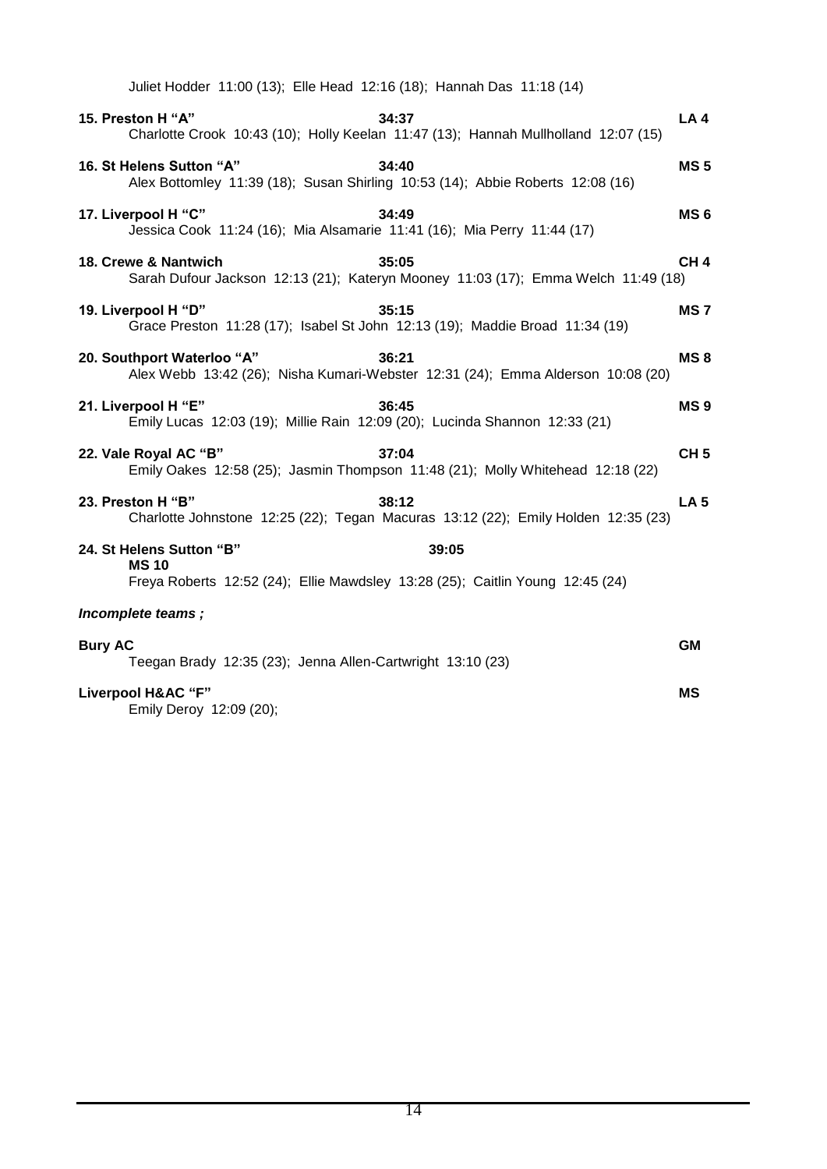| Juliet Hodder 11:00 (13); Elle Head 12:16 (18); Hannah Das 11:18 (14)                                                             |                 |
|-----------------------------------------------------------------------------------------------------------------------------------|-----------------|
| 15. Preston H "A"<br>34:37<br>Charlotte Crook 10:43 (10); Holly Keelan 11:47 (13); Hannah Mullholland 12:07 (15)                  | LA <sub>4</sub> |
| 34:40<br>16. St Helens Sutton "A"<br>Alex Bottomley 11:39 (18); Susan Shirling 10:53 (14); Abbie Roberts 12:08 (16)               | <b>MS5</b>      |
| 17. Liverpool H "C"<br>34:49<br>Jessica Cook 11:24 (16); Mia Alsamarie 11:41 (16); Mia Perry 11:44 (17)                           | MS <sub>6</sub> |
| 18. Crewe & Nantwich<br>35:05<br>Sarah Dufour Jackson 12:13 (21); Kateryn Mooney 11:03 (17); Emma Welch 11:49 (18)                | CH <sub>4</sub> |
| 19. Liverpool H "D"<br>35:15<br>Grace Preston 11:28 (17); Isabel St John 12:13 (19); Maddie Broad 11:34 (19)                      | MS <sub>7</sub> |
| 20. Southport Waterloo "A"<br>36:21<br>Alex Webb 13:42 (26); Nisha Kumari-Webster 12:31 (24); Emma Alderson 10:08 (20)            | MS <sub>8</sub> |
| 21. Liverpool H "E"<br>36:45<br>Emily Lucas 12:03 (19); Millie Rain 12:09 (20); Lucinda Shannon 12:33 (21)                        | MS <sub>9</sub> |
| 22. Vale Royal AC "B"<br>37:04<br>Emily Oakes 12:58 (25); Jasmin Thompson 11:48 (21); Molly Whitehead 12:18 (22)                  | CH <sub>5</sub> |
| 23. Preston H "B"<br>38:12<br>Charlotte Johnstone 12:25 (22); Tegan Macuras 13:12 (22); Emily Holden 12:35 (23)                   | LA <sub>5</sub> |
| 24. St Helens Sutton "B"<br>39:05<br><b>MS10</b><br>Freya Roberts 12:52 (24); Ellie Mawdsley 13:28 (25); Caitlin Young 12:45 (24) |                 |
| Incomplete teams;                                                                                                                 |                 |
| <b>Bury AC</b><br>Teegan Brady 12:35 (23); Jenna Allen-Cartwright 13:10 (23)                                                      | <b>GM</b>       |
| Liverpool H&AC "F"<br>Emily Deroy 12:09 (20);                                                                                     | <b>MS</b>       |